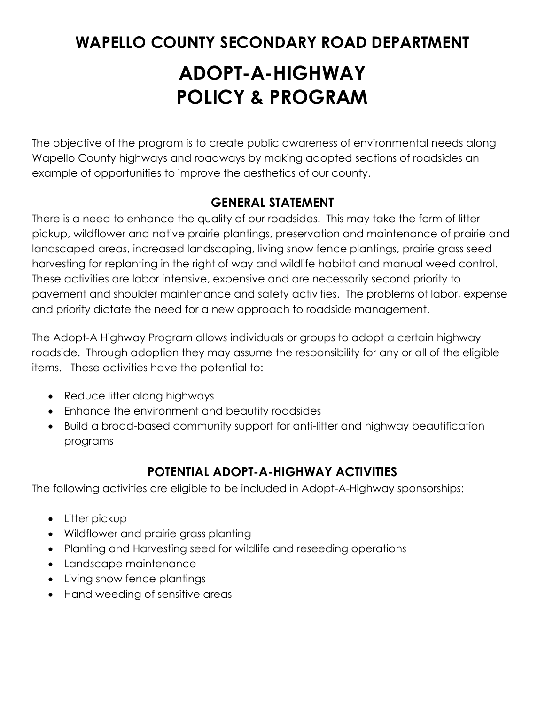# **WAPELLO COUNTY SECONDARY ROAD DEPARTMENT ADOPT-A-HIGHWAY POLICY & PROGRAM**

The objective of the program is to create public awareness of environmental needs along Wapello County highways and roadways by making adopted sections of roadsides an example of opportunities to improve the aesthetics of our county.

#### **GENERAL STATEMENT**

There is a need to enhance the quality of our roadsides. This may take the form of litter pickup, wildflower and native prairie plantings, preservation and maintenance of prairie and landscaped areas, increased landscaping, living snow fence plantings, prairie grass seed harvesting for replanting in the right of way and wildlife habitat and manual weed control. These activities are labor intensive, expensive and are necessarily second priority to pavement and shoulder maintenance and safety activities. The problems of labor, expense and priority dictate the need for a new approach to roadside management.

The Adopt-A Highway Program allows individuals or groups to adopt a certain highway roadside. Through adoption they may assume the responsibility for any or all of the eligible items. These activities have the potential to:

- Reduce litter along highways
- Enhance the environment and beautify roadsides
- Build a broad-based community support for anti-litter and highway beautification programs

#### **POTENTIAL ADOPT-A-HIGHWAY ACTIVITIES**

The following activities are eligible to be included in Adopt-A-Highway sponsorships:

- Litter pickup
- Wildflower and prairie grass planting
- Planting and Harvesting seed for wildlife and reseeding operations
- Landscape maintenance
- Living snow fence plantings
- Hand weeding of sensitive areas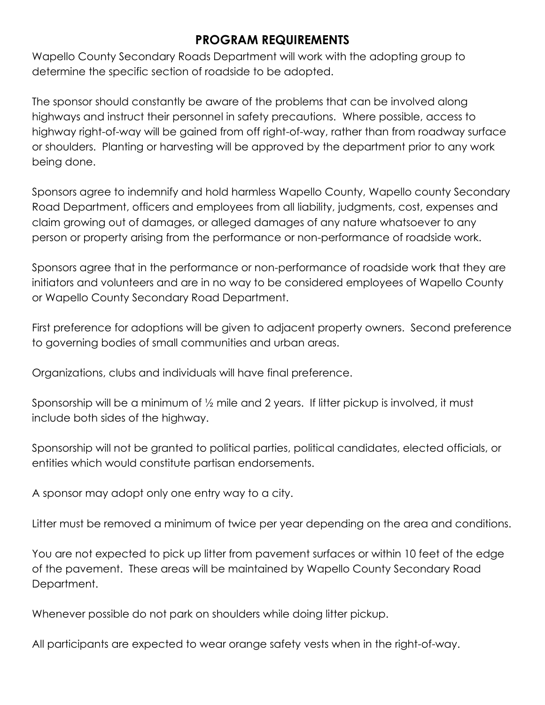#### **PROGRAM REQUIREMENTS**

Wapello County Secondary Roads Department will work with the adopting group to determine the specific section of roadside to be adopted.

The sponsor should constantly be aware of the problems that can be involved along highways and instruct their personnel in safety precautions. Where possible, access to highway right-of-way will be gained from off right-of-way, rather than from roadway surface or shoulders. Planting or harvesting will be approved by the department prior to any work being done.

Sponsors agree to indemnify and hold harmless Wapello County, Wapello county Secondary Road Department, officers and employees from all liability, judgments, cost, expenses and claim growing out of damages, or alleged damages of any nature whatsoever to any person or property arising from the performance or non-performance of roadside work.

Sponsors agree that in the performance or non-performance of roadside work that they are initiators and volunteers and are in no way to be considered employees of Wapello County or Wapello County Secondary Road Department.

First preference for adoptions will be given to adjacent property owners. Second preference to governing bodies of small communities and urban areas.

Organizations, clubs and individuals will have final preference.

Sponsorship will be a minimum of ½ mile and 2 years. If litter pickup is involved, it must include both sides of the highway.

Sponsorship will not be granted to political parties, political candidates, elected officials, or entities which would constitute partisan endorsements.

A sponsor may adopt only one entry way to a city.

Litter must be removed a minimum of twice per year depending on the area and conditions.

You are not expected to pick up litter from pavement surfaces or within 10 feet of the edge of the pavement. These areas will be maintained by Wapello County Secondary Road Department.

Whenever possible do not park on shoulders while doing litter pickup.

All participants are expected to wear orange safety vests when in the right-of-way.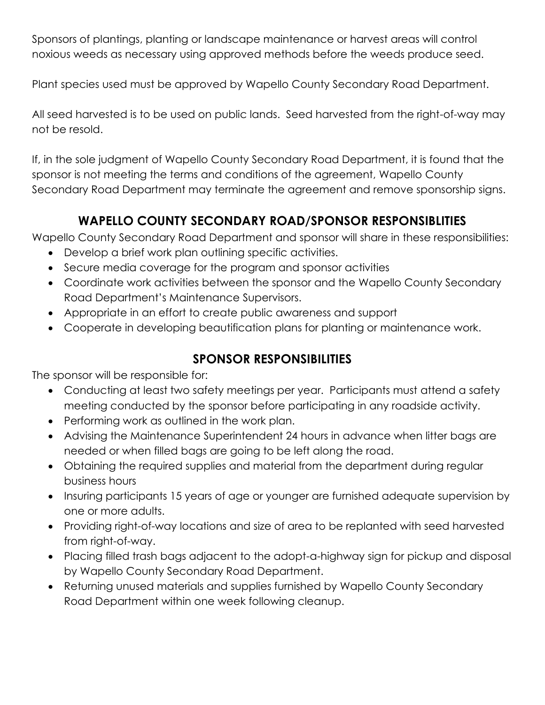Sponsors of plantings, planting or landscape maintenance or harvest areas will control noxious weeds as necessary using approved methods before the weeds produce seed.

Plant species used must be approved by Wapello County Secondary Road Department.

All seed harvested is to be used on public lands. Seed harvested from the right-of-way may not be resold.

If, in the sole judgment of Wapello County Secondary Road Department, it is found that the sponsor is not meeting the terms and conditions of the agreement, Wapello County Secondary Road Department may terminate the agreement and remove sponsorship signs.

### **WAPELLO COUNTY SECONDARY ROAD/SPONSOR RESPONSIBLITIES**

Wapello County Secondary Road Department and sponsor will share in these responsibilities:

- Develop a brief work plan outlining specific activities.
- Secure media coverage for the program and sponsor activities
- Coordinate work activities between the sponsor and the Wapello County Secondary Road Department's Maintenance Supervisors.
- Appropriate in an effort to create public awareness and support
- Cooperate in developing beautification plans for planting or maintenance work.

#### **SPONSOR RESPONSIBILITIES**

The sponsor will be responsible for:

- Conducting at least two safety meetings per year. Participants must attend a safety meeting conducted by the sponsor before participating in any roadside activity.
- Performing work as outlined in the work plan.
- Advising the Maintenance Superintendent 24 hours in advance when litter bags are needed or when filled bags are going to be left along the road.
- Obtaining the required supplies and material from the department during regular business hours
- Insuring participants 15 years of age or younger are furnished adequate supervision by one or more adults.
- Providing right-of-way locations and size of area to be replanted with seed harvested from right-of-way.
- Placing filled trash bags adjacent to the adopt-a-highway sign for pickup and disposal by Wapello County Secondary Road Department.
- Returning unused materials and supplies furnished by Wapello County Secondary Road Department within one week following cleanup.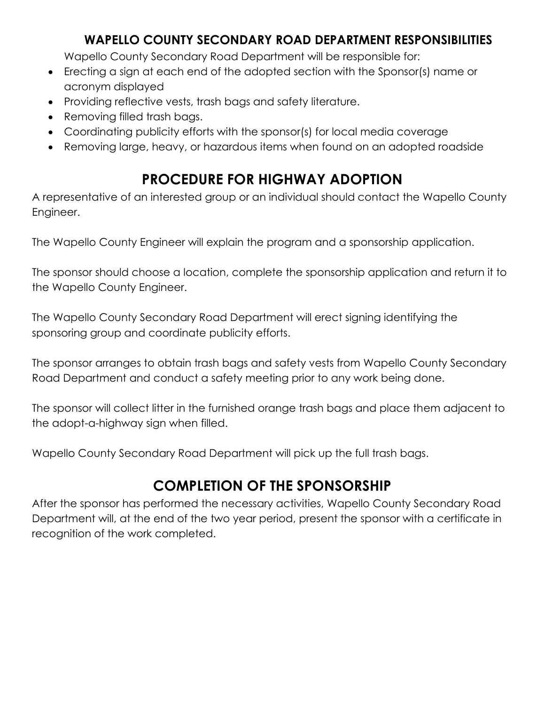#### **WAPELLO COUNTY SECONDARY ROAD DEPARTMENT RESPONSIBILITIES**

Wapello County Secondary Road Department will be responsible for:

- Erecting a sign at each end of the adopted section with the Sponsor(s) name or acronym displayed
- Providing reflective vests, trash bags and safety literature.
- Removing filled trash bags.
- Coordinating publicity efforts with the sponsor(s) for local media coverage
- Removing large, heavy, or hazardous items when found on an adopted roadside

## **PROCEDURE FOR HIGHWAY ADOPTION**

A representative of an interested group or an individual should contact the Wapello County Engineer.

The Wapello County Engineer will explain the program and a sponsorship application.

The sponsor should choose a location, complete the sponsorship application and return it to the Wapello County Engineer.

The Wapello County Secondary Road Department will erect signing identifying the sponsoring group and coordinate publicity efforts.

The sponsor arranges to obtain trash bags and safety vests from Wapello County Secondary Road Department and conduct a safety meeting prior to any work being done.

The sponsor will collect litter in the furnished orange trash bags and place them adjacent to the adopt-a-highway sign when filled.

Wapello County Secondary Road Department will pick up the full trash bags.

## **COMPLETION OF THE SPONSORSHIP**

After the sponsor has performed the necessary activities, Wapello County Secondary Road Department will, at the end of the two year period, present the sponsor with a certificate in recognition of the work completed.